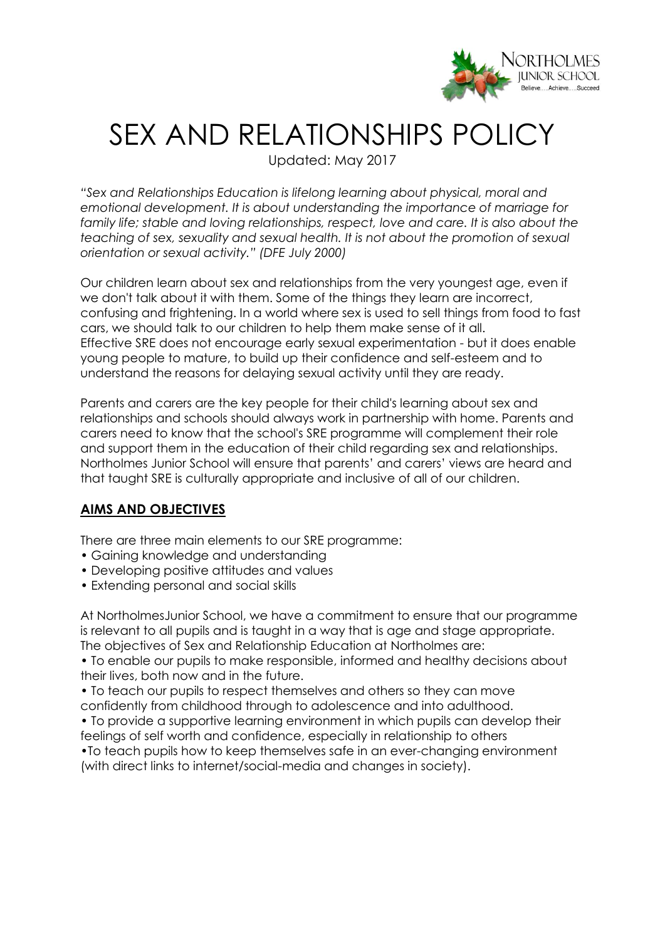

# SEX AND RELATIONSHIPS POLICY

Updated: May 2017

*"Sex and Relationships Education is lifelong learning about physical, moral and emotional development. It is about understanding the importance of marriage for family life; stable and loving relationships, respect, love and care. It is also about the teaching of sex, sexuality and sexual health. It is not about the promotion of sexual orientation or sexual activity." (DFE July 2000)*

Our children learn about sex and relationships from the very youngest age, even if we don't talk about it with them. Some of the things they learn are incorrect, confusing and frightening. In a world where sex is used to sell things from food to fast cars, we should talk to our children to help them make sense of it all. Effective SRE does not encourage early sexual experimentation - but it does enable young people to mature, to build up their confidence and self-esteem and to understand the reasons for delaying sexual activity until they are ready.

Parents and carers are the key people for their child's learning about sex and relationships and schools should always work in partnership with home. Parents and carers need to know that the school's SRE programme will complement their role and support them in the education of their child regarding sex and relationships. Northolmes Junior School will ensure that parents' and carers' views are heard and that taught SRE is culturally appropriate and inclusive of all of our children.

# **AIMS AND OBJECTIVES**

There are three main elements to our SRE programme:

- Gaining knowledge and understanding
- Developing positive attitudes and values
- Extending personal and social skills

At NortholmesJunior School, we have a commitment to ensure that our programme is relevant to all pupils and is taught in a way that is age and stage appropriate. The objectives of Sex and Relationship Education at Northolmes are:

• To enable our pupils to make responsible, informed and healthy decisions about their lives, both now and in the future.

• To teach our pupils to respect themselves and others so they can move confidently from childhood through to adolescence and into adulthood.

• To provide a supportive learning environment in which pupils can develop their feelings of self worth and confidence, especially in relationship to others

•To teach pupils how to keep themselves safe in an ever-changing environment (with direct links to internet/social-media and changes in society).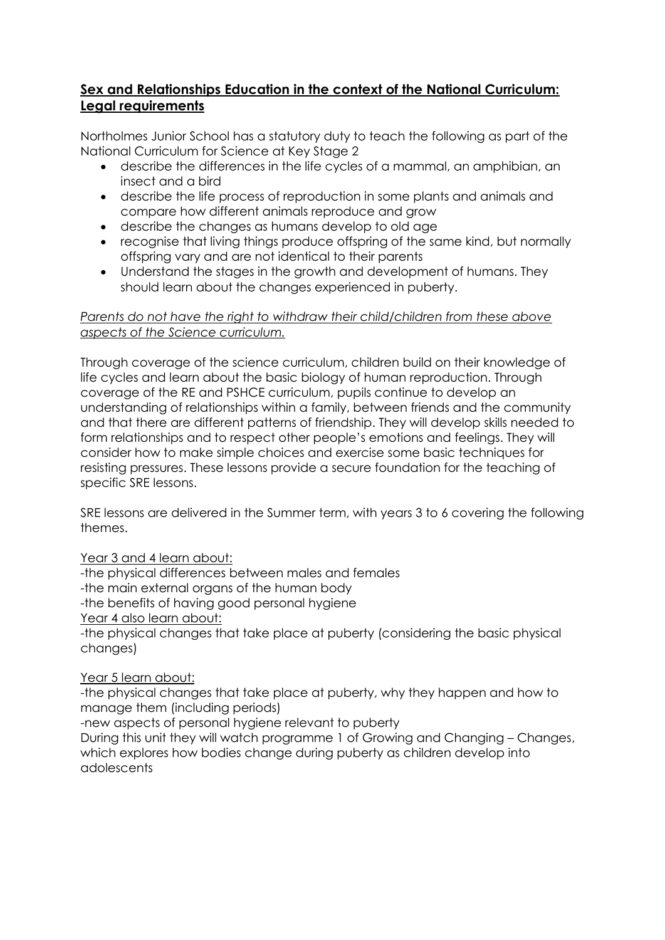# **Sex and Relationships Education in the context of the National Curriculum: Legal requirements**

Northolmes Junior School has a statutory duty to teach the following as part of the National Curriculum for Science at Key Stage 2

- describe the differences in the life cycles of a mammal, an amphibian, an insect and a bird
- describe the life process of reproduction in some plants and animals and compare how different animals reproduce and grow
- describe the changes as humans develop to old age
- recognise that living things produce offspring of the same kind, but normally offspring vary and are not identical to their parents
- Understand the stages in the growth and development of humans. They should learn about the changes experienced in puberty.

# *Parents do not have the right to withdraw their child/children from these above aspects of the Science curriculum.*

Through coverage of the science curriculum, children build on their knowledge of life cycles and learn about the basic biology of human reproduction. Through coverage of the RE and PSHCE curriculum, pupils continue to develop an understanding of relationships within a family, between friends and the community and that there are different patterns of friendship. They will develop skills needed to form relationships and to respect other people's emotions and feelings. They will consider how to make simple choices and exercise some basic techniques for resisting pressures. These lessons provide a secure foundation for the teaching of specific SRE lessons.

SRE lessons are delivered in the Summer term, with years 3 to 6 covering the following themes.

# Year 3 and 4 learn about:

-the physical differences between males and females -the main external organs of the human body -the benefits of having good personal hygiene Year 4 also learn about: -the physical changes that take place at puberty (considering the basic physical changes)

# Year 5 learn about:

-the physical changes that take place at puberty, why they happen and how to manage them (including periods)

-new aspects of personal hygiene relevant to puberty

During this unit they will watch programme 1 of Growing and Changing – Changes, which explores how bodies change during puberty as children develop into adolescents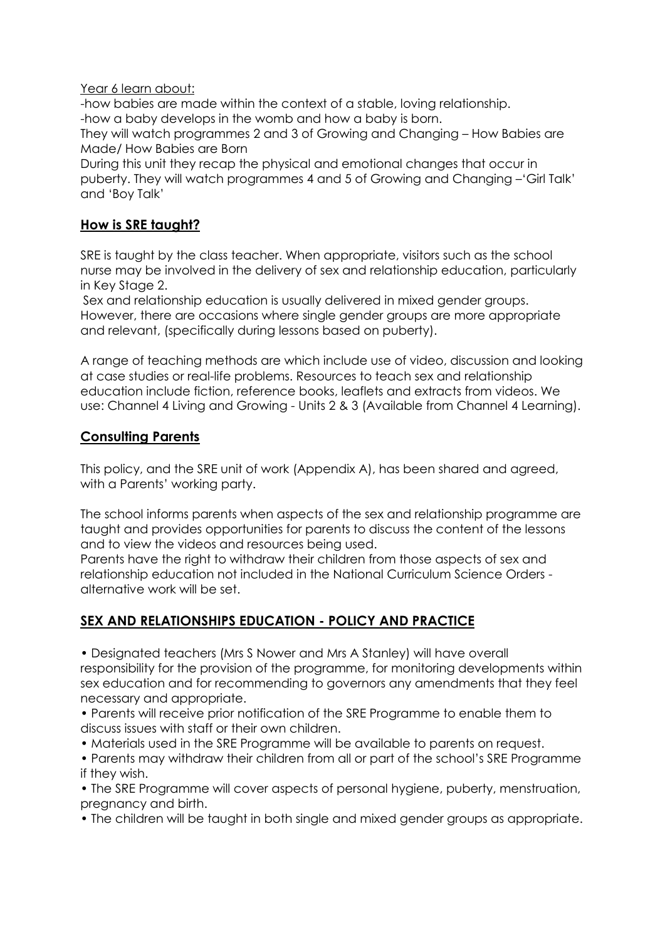#### Year 6 learn about:

-how babies are made within the context of a stable, loving relationship. -how a baby develops in the womb and how a baby is born.

They will watch programmes 2 and 3 of Growing and Changing – How Babies are Made/ How Babies are Born

During this unit they recap the physical and emotional changes that occur in puberty. They will watch programmes 4 and 5 of Growing and Changing –'Girl Talk' and 'Boy Talk'

# **How is SRE taught?**

SRE is taught by the class teacher. When appropriate, visitors such as the school nurse may be involved in the delivery of sex and relationship education, particularly in Key Stage 2.

Sex and relationship education is usually delivered in mixed gender groups. However, there are occasions where single gender groups are more appropriate and relevant, (specifically during lessons based on puberty).

A range of teaching methods are which include use of video, discussion and looking at case studies or real-life problems. Resources to teach sex and relationship education include fiction, reference books, leaflets and extracts from videos. We use: Channel 4 Living and Growing - Units 2 & 3 (Available from Channel 4 Learning).

# **Consulting Parents**

This policy, and the SRE unit of work (Appendix A), has been shared and agreed, with a Parents' working party.

The school informs parents when aspects of the sex and relationship programme are taught and provides opportunities for parents to discuss the content of the lessons and to view the videos and resources being used.

Parents have the right to withdraw their children from those aspects of sex and relationship education not included in the National Curriculum Science Orders alternative work will be set.

# **SEX AND RELATIONSHIPS EDUCATION - POLICY AND PRACTICE**

• Designated teachers (Mrs S Nower and Mrs A Stanley) will have overall responsibility for the provision of the programme, for monitoring developments within sex education and for recommending to governors any amendments that they feel necessary and appropriate.

• Parents will receive prior notification of the SRE Programme to enable them to discuss issues with staff or their own children.

• Materials used in the SRE Programme will be available to parents on request.

• Parents may withdraw their children from all or part of the school's SRE Programme if they wish.

• The SRE Programme will cover aspects of personal hygiene, puberty, menstruation, pregnancy and birth.

• The children will be taught in both single and mixed gender groups as appropriate.